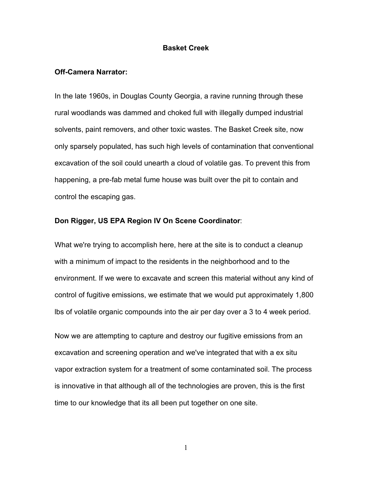# **Basket Creek**

#### **Off-Camera Narrator:**

In the late 1960s, in Douglas County Georgia, a ravine running through these rural woodlands was dammed and choked full with illegally dumped industrial solvents, paint removers, and other toxic wastes. The Basket Creek site, now only sparsely populated, has such high levels of contamination that conventional excavation of the soil could unearth a cloud of volatile gas. To prevent this from happening, a pre-fab metal fume house was built over the pit to contain and control the escaping gas.

# **Don Rigger, US EPA Region IV On Scene Coordinator**:

What we're trying to accomplish here, here at the site is to conduct a cleanup with a minimum of impact to the residents in the neighborhood and to the environment. If we were to excavate and screen this material without any kind of control of fugitive emissions, we estimate that we would put approximately 1,800 lbs of volatile organic compounds into the air per day over a 3 to 4 week period.

Now we are attempting to capture and destroy our fugitive emissions from an excavation and screening operation and we've integrated that with a ex situ vapor extraction system for a treatment of some contaminated soil. The process is innovative in that although all of the technologies are proven, this is the first time to our knowledge that its all been put together on one site.

1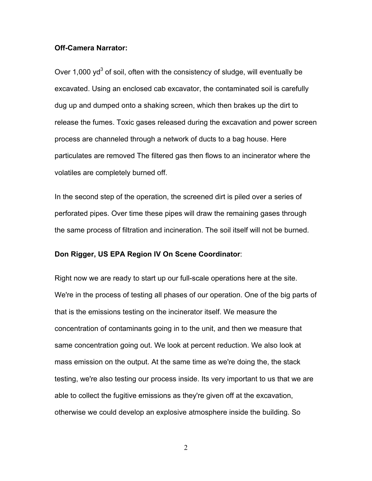# **Off-Camera Narrator:**

Over 1,000 yd<sup>3</sup> of soil, often with the consistency of sludge, will eventually be excavated. Using an enclosed cab excavator, the contaminated soil is carefully dug up and dumped onto a shaking screen, which then brakes up the dirt to release the fumes. Toxic gases released during the excavation and power screen process are channeled through a network of ducts to a bag house. Here particulates are removed The filtered gas then flows to an incinerator where the volatiles are completely burned off.

In the second step of the operation, the screened dirt is piled over a series of perforated pipes. Over time these pipes will draw the remaining gases through the same process of filtration and incineration. The soil itself will not be burned.

# **Don Rigger, US EPA Region IV On Scene Coordinator**:

Right now we are ready to start up our full-scale operations here at the site. We're in the process of testing all phases of our operation. One of the big parts of that is the emissions testing on the incinerator itself. We measure the concentration of contaminants going in to the unit, and then we measure that same concentration going out. We look at percent reduction. We also look at mass emission on the output. At the same time as we're doing the, the stack testing, we're also testing our process inside. Its very important to us that we are able to collect the fugitive emissions as they're given off at the excavation, otherwise we could develop an explosive atmosphere inside the building. So

2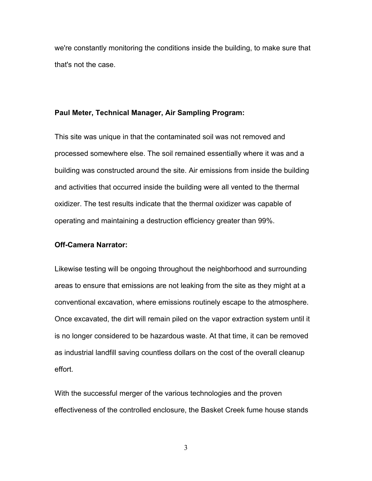we're constantly monitoring the conditions inside the building, to make sure that that's not the case.

#### **Paul Meter, Technical Manager, Air Sampling Program:**

This site was unique in that the contaminated soil was not removed and processed somewhere else. The soil remained essentially where it was and a building was constructed around the site. Air emissions from inside the building and activities that occurred inside the building were all vented to the thermal oxidizer. The test results indicate that the thermal oxidizer was capable of operating and maintaining a destruction efficiency greater than 99%.

# **Off-Camera Narrator:**

Likewise testing will be ongoing throughout the neighborhood and surrounding areas to ensure that emissions are not leaking from the site as they might at a conventional excavation, where emissions routinely escape to the atmosphere. Once excavated, the dirt will remain piled on the vapor extraction system until it is no longer considered to be hazardous waste. At that time, it can be removed as industrial landfill saving countless dollars on the cost of the overall cleanup effort.

With the successful merger of the various technologies and the proven effectiveness of the controlled enclosure, the Basket Creek fume house stands

3